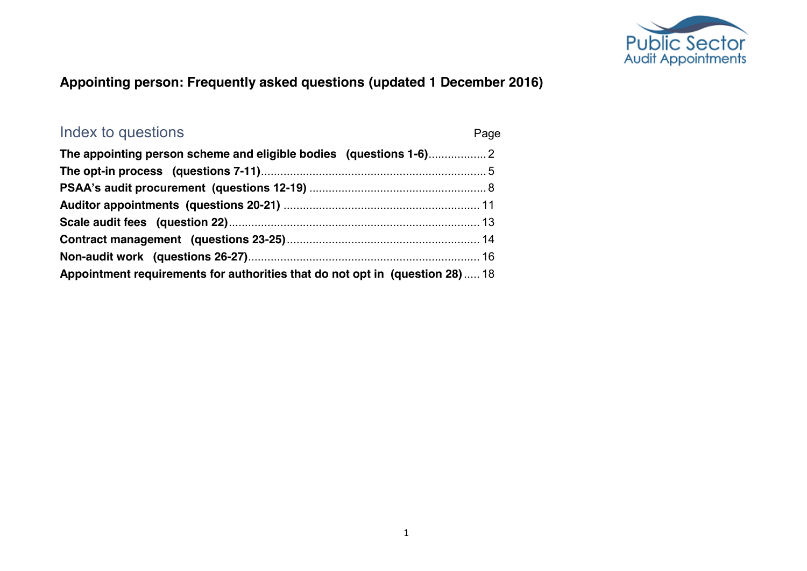

#### **Appointing person: Frequently asked questions (updated 1 December 2016)**

| Index to questions                                                           | Page |
|------------------------------------------------------------------------------|------|
|                                                                              |      |
|                                                                              |      |
|                                                                              |      |
|                                                                              |      |
|                                                                              |      |
|                                                                              |      |
|                                                                              |      |
| Appointment requirements for authorities that do not opt in (question 28) 18 |      |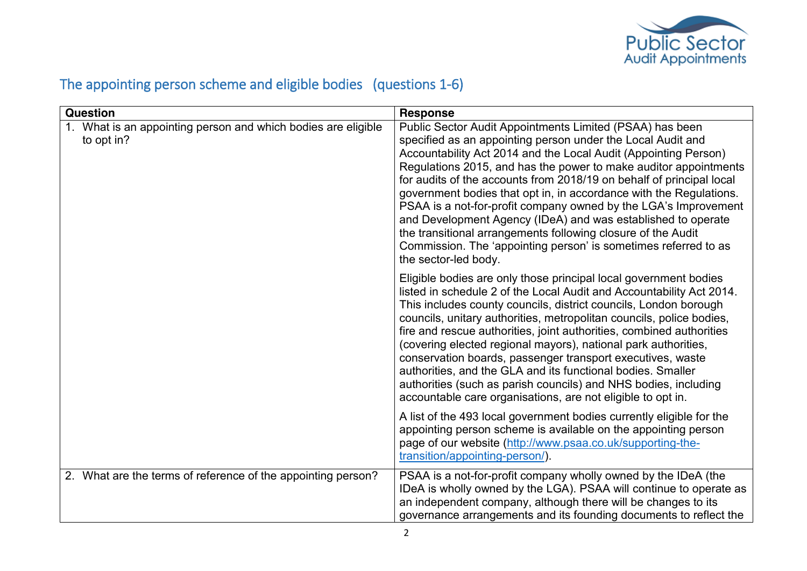

## <span id="page-1-0"></span>The appointing person scheme and eligible bodies (questions 1-6)

| <b>Question</b>                                                             | <b>Response</b>                                                                                                                                                                                                                                                                                                                                                                                                                                                                                                                                                                                                                                                                                            |
|-----------------------------------------------------------------------------|------------------------------------------------------------------------------------------------------------------------------------------------------------------------------------------------------------------------------------------------------------------------------------------------------------------------------------------------------------------------------------------------------------------------------------------------------------------------------------------------------------------------------------------------------------------------------------------------------------------------------------------------------------------------------------------------------------|
| 1. What is an appointing person and which bodies are eligible<br>to opt in? | Public Sector Audit Appointments Limited (PSAA) has been<br>specified as an appointing person under the Local Audit and<br>Accountability Act 2014 and the Local Audit (Appointing Person)<br>Regulations 2015, and has the power to make auditor appointments<br>for audits of the accounts from 2018/19 on behalf of principal local<br>government bodies that opt in, in accordance with the Regulations.<br>PSAA is a not-for-profit company owned by the LGA's Improvement<br>and Development Agency (IDeA) and was established to operate<br>the transitional arrangements following closure of the Audit<br>Commission. The 'appointing person' is sometimes referred to as<br>the sector-led body. |
|                                                                             | Eligible bodies are only those principal local government bodies<br>listed in schedule 2 of the Local Audit and Accountability Act 2014.<br>This includes county councils, district councils, London borough<br>councils, unitary authorities, metropolitan councils, police bodies,<br>fire and rescue authorities, joint authorities, combined authorities<br>(covering elected regional mayors), national park authorities,<br>conservation boards, passenger transport executives, waste<br>authorities, and the GLA and its functional bodies. Smaller<br>authorities (such as parish councils) and NHS bodies, including<br>accountable care organisations, are not eligible to opt in.              |
|                                                                             | A list of the 493 local government bodies currently eligible for the<br>appointing person scheme is available on the appointing person<br>page of our website (http://www.psaa.co.uk/supporting-the-<br>transition/appointing-person/).                                                                                                                                                                                                                                                                                                                                                                                                                                                                    |
| 2. What are the terms of reference of the appointing person?                | PSAA is a not-for-profit company wholly owned by the IDeA (the<br>IDeA is wholly owned by the LGA). PSAA will continue to operate as<br>an independent company, although there will be changes to its<br>governance arrangements and its founding documents to reflect the                                                                                                                                                                                                                                                                                                                                                                                                                                 |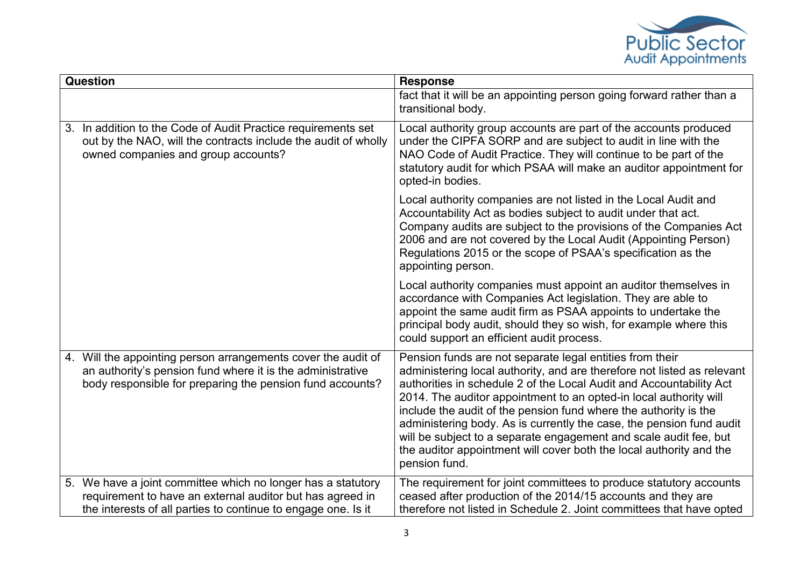

| <b>Question</b> |                                                                                                                                                                                            | <b>Response</b>                                                                                                                                                                                                                                                                                                                                                                                                                                                                                                                                                                          |
|-----------------|--------------------------------------------------------------------------------------------------------------------------------------------------------------------------------------------|------------------------------------------------------------------------------------------------------------------------------------------------------------------------------------------------------------------------------------------------------------------------------------------------------------------------------------------------------------------------------------------------------------------------------------------------------------------------------------------------------------------------------------------------------------------------------------------|
|                 |                                                                                                                                                                                            | fact that it will be an appointing person going forward rather than a<br>transitional body.                                                                                                                                                                                                                                                                                                                                                                                                                                                                                              |
|                 | 3. In addition to the Code of Audit Practice requirements set<br>out by the NAO, will the contracts include the audit of wholly<br>owned companies and group accounts?                     | Local authority group accounts are part of the accounts produced<br>under the CIPFA SORP and are subject to audit in line with the<br>NAO Code of Audit Practice. They will continue to be part of the<br>statutory audit for which PSAA will make an auditor appointment for<br>opted-in bodies.                                                                                                                                                                                                                                                                                        |
|                 |                                                                                                                                                                                            | Local authority companies are not listed in the Local Audit and<br>Accountability Act as bodies subject to audit under that act.<br>Company audits are subject to the provisions of the Companies Act<br>2006 and are not covered by the Local Audit (Appointing Person)<br>Regulations 2015 or the scope of PSAA's specification as the<br>appointing person.                                                                                                                                                                                                                           |
|                 |                                                                                                                                                                                            | Local authority companies must appoint an auditor themselves in<br>accordance with Companies Act legislation. They are able to<br>appoint the same audit firm as PSAA appoints to undertake the<br>principal body audit, should they so wish, for example where this<br>could support an efficient audit process.                                                                                                                                                                                                                                                                        |
|                 | 4. Will the appointing person arrangements cover the audit of<br>an authority's pension fund where it is the administrative<br>body responsible for preparing the pension fund accounts?   | Pension funds are not separate legal entities from their<br>administering local authority, and are therefore not listed as relevant<br>authorities in schedule 2 of the Local Audit and Accountability Act<br>2014. The auditor appointment to an opted-in local authority will<br>include the audit of the pension fund where the authority is the<br>administering body. As is currently the case, the pension fund audit<br>will be subject to a separate engagement and scale audit fee, but<br>the auditor appointment will cover both the local authority and the<br>pension fund. |
|                 | 5. We have a joint committee which no longer has a statutory<br>requirement to have an external auditor but has agreed in<br>the interests of all parties to continue to engage one. Is it | The requirement for joint committees to produce statutory accounts<br>ceased after production of the 2014/15 accounts and they are<br>therefore not listed in Schedule 2. Joint committees that have opted                                                                                                                                                                                                                                                                                                                                                                               |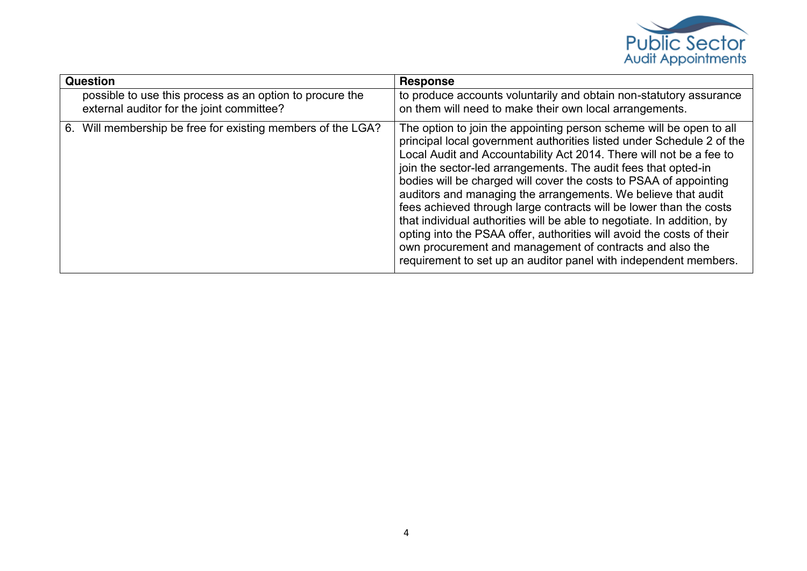

| <b>Question</b>                                                                                       | <b>Response</b>                                                                                                                                                                                                                                                                                                                                                                                                                                                                                                                                                                                                                                                                                                                                                                      |
|-------------------------------------------------------------------------------------------------------|--------------------------------------------------------------------------------------------------------------------------------------------------------------------------------------------------------------------------------------------------------------------------------------------------------------------------------------------------------------------------------------------------------------------------------------------------------------------------------------------------------------------------------------------------------------------------------------------------------------------------------------------------------------------------------------------------------------------------------------------------------------------------------------|
| possible to use this process as an option to procure the<br>external auditor for the joint committee? | to produce accounts voluntarily and obtain non-statutory assurance<br>on them will need to make their own local arrangements.                                                                                                                                                                                                                                                                                                                                                                                                                                                                                                                                                                                                                                                        |
| Will membership be free for existing members of the LGA?<br>6.                                        | The option to join the appointing person scheme will be open to all<br>principal local government authorities listed under Schedule 2 of the<br>Local Audit and Accountability Act 2014. There will not be a fee to<br>join the sector-led arrangements. The audit fees that opted-in<br>bodies will be charged will cover the costs to PSAA of appointing<br>auditors and managing the arrangements. We believe that audit<br>fees achieved through large contracts will be lower than the costs<br>that individual authorities will be able to negotiate. In addition, by<br>opting into the PSAA offer, authorities will avoid the costs of their<br>own procurement and management of contracts and also the<br>requirement to set up an auditor panel with independent members. |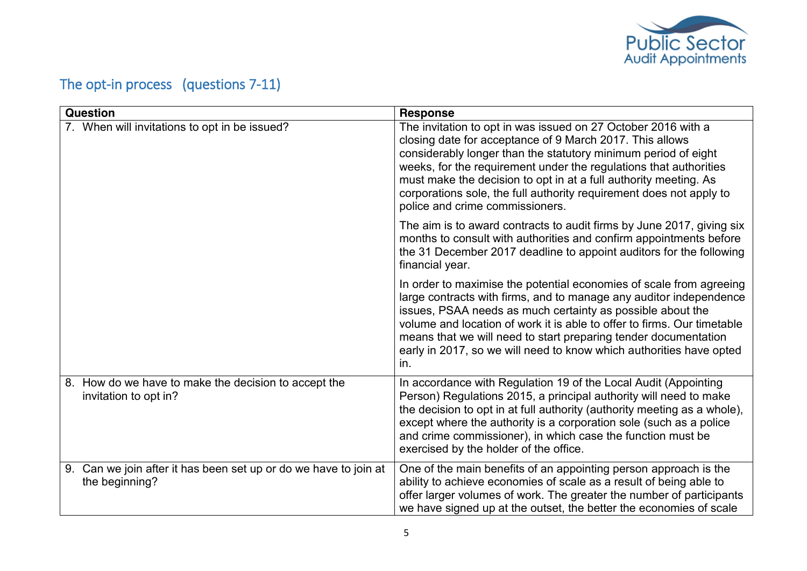

# <span id="page-4-0"></span>The opt-in process (questions 7-11)

| <b>Question</b>                                                                       | <b>Response</b>                                                                                                                                                                                                                                                                                                                                                                                                                                |
|---------------------------------------------------------------------------------------|------------------------------------------------------------------------------------------------------------------------------------------------------------------------------------------------------------------------------------------------------------------------------------------------------------------------------------------------------------------------------------------------------------------------------------------------|
| 7. When will invitations to opt in be issued?                                         | The invitation to opt in was issued on 27 October 2016 with a<br>closing date for acceptance of 9 March 2017. This allows<br>considerably longer than the statutory minimum period of eight<br>weeks, for the requirement under the regulations that authorities<br>must make the decision to opt in at a full authority meeting. As<br>corporations sole, the full authority requirement does not apply to<br>police and crime commissioners. |
|                                                                                       | The aim is to award contracts to audit firms by June 2017, giving six<br>months to consult with authorities and confirm appointments before<br>the 31 December 2017 deadline to appoint auditors for the following<br>financial year.                                                                                                                                                                                                          |
|                                                                                       | In order to maximise the potential economies of scale from agreeing<br>large contracts with firms, and to manage any auditor independence<br>issues, PSAA needs as much certainty as possible about the<br>volume and location of work it is able to offer to firms. Our timetable<br>means that we will need to start preparing tender documentation<br>early in 2017, so we will need to know which authorities have opted<br>in.            |
| 8. How do we have to make the decision to accept the<br>invitation to opt in?         | In accordance with Regulation 19 of the Local Audit (Appointing<br>Person) Regulations 2015, a principal authority will need to make<br>the decision to opt in at full authority (authority meeting as a whole),<br>except where the authority is a corporation sole (such as a police<br>and crime commissioner), in which case the function must be<br>exercised by the holder of the office.                                                |
| Can we join after it has been set up or do we have to join at<br>9.<br>the beginning? | One of the main benefits of an appointing person approach is the<br>ability to achieve economies of scale as a result of being able to<br>offer larger volumes of work. The greater the number of participants<br>we have signed up at the outset, the better the economies of scale                                                                                                                                                           |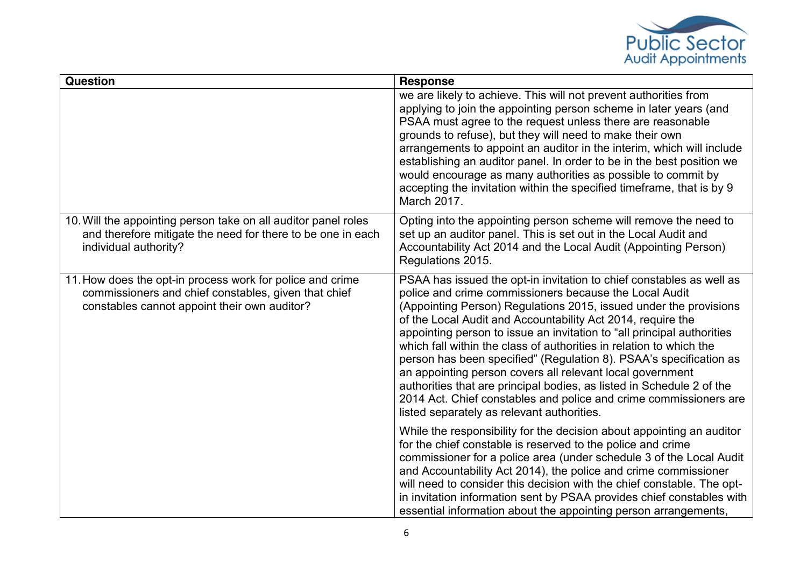

| <b>Question</b>                                                                                                                                                   | <b>Response</b>                                                                                                                                                                                                                                                                                                                                                                                                                                                                                                                                                                                                                                                                                                                                    |
|-------------------------------------------------------------------------------------------------------------------------------------------------------------------|----------------------------------------------------------------------------------------------------------------------------------------------------------------------------------------------------------------------------------------------------------------------------------------------------------------------------------------------------------------------------------------------------------------------------------------------------------------------------------------------------------------------------------------------------------------------------------------------------------------------------------------------------------------------------------------------------------------------------------------------------|
|                                                                                                                                                                   | we are likely to achieve. This will not prevent authorities from<br>applying to join the appointing person scheme in later years (and<br>PSAA must agree to the request unless there are reasonable<br>grounds to refuse), but they will need to make their own<br>arrangements to appoint an auditor in the interim, which will include<br>establishing an auditor panel. In order to be in the best position we<br>would encourage as many authorities as possible to commit by<br>accepting the invitation within the specified timeframe, that is by 9<br>March 2017.                                                                                                                                                                          |
| 10. Will the appointing person take on all auditor panel roles<br>and therefore mitigate the need for there to be one in each<br>individual authority?            | Opting into the appointing person scheme will remove the need to<br>set up an auditor panel. This is set out in the Local Audit and<br>Accountability Act 2014 and the Local Audit (Appointing Person)<br>Regulations 2015.                                                                                                                                                                                                                                                                                                                                                                                                                                                                                                                        |
| 11. How does the opt-in process work for police and crime<br>commissioners and chief constables, given that chief<br>constables cannot appoint their own auditor? | PSAA has issued the opt-in invitation to chief constables as well as<br>police and crime commissioners because the Local Audit<br>(Appointing Person) Regulations 2015, issued under the provisions<br>of the Local Audit and Accountability Act 2014, require the<br>appointing person to issue an invitation to "all principal authorities<br>which fall within the class of authorities in relation to which the<br>person has been specified" (Regulation 8). PSAA's specification as<br>an appointing person covers all relevant local government<br>authorities that are principal bodies, as listed in Schedule 2 of the<br>2014 Act. Chief constables and police and crime commissioners are<br>listed separately as relevant authorities. |
|                                                                                                                                                                   | While the responsibility for the decision about appointing an auditor<br>for the chief constable is reserved to the police and crime<br>commissioner for a police area (under schedule 3 of the Local Audit<br>and Accountability Act 2014), the police and crime commissioner<br>will need to consider this decision with the chief constable. The opt-<br>in invitation information sent by PSAA provides chief constables with<br>essential information about the appointing person arrangements,                                                                                                                                                                                                                                               |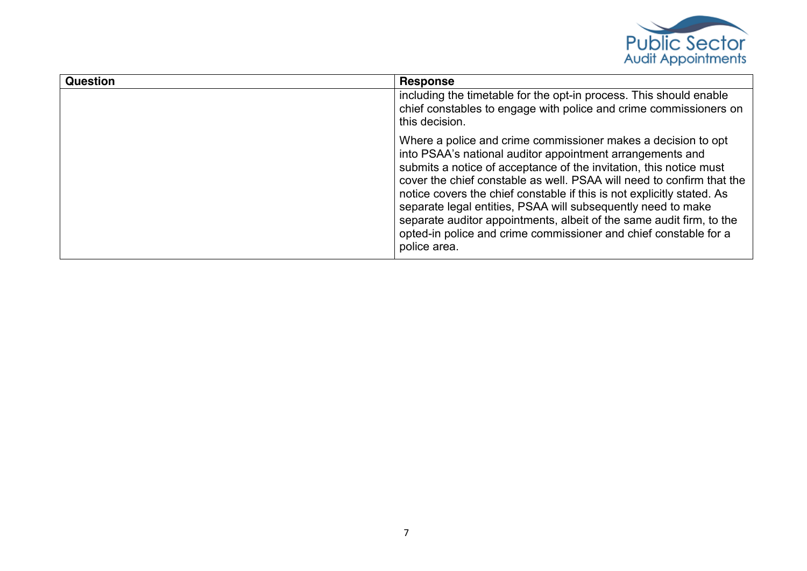

| Question | <b>Response</b>                                                                                                                                                                                                                                                                                                                                                                                                                                                                                                                                                                 |
|----------|---------------------------------------------------------------------------------------------------------------------------------------------------------------------------------------------------------------------------------------------------------------------------------------------------------------------------------------------------------------------------------------------------------------------------------------------------------------------------------------------------------------------------------------------------------------------------------|
|          | including the timetable for the opt-in process. This should enable<br>chief constables to engage with police and crime commissioners on<br>this decision.                                                                                                                                                                                                                                                                                                                                                                                                                       |
|          | Where a police and crime commissioner makes a decision to opt<br>into PSAA's national auditor appointment arrangements and<br>submits a notice of acceptance of the invitation, this notice must<br>cover the chief constable as well. PSAA will need to confirm that the<br>notice covers the chief constable if this is not explicitly stated. As<br>separate legal entities, PSAA will subsequently need to make<br>separate auditor appointments, albeit of the same audit firm, to the<br>opted-in police and crime commissioner and chief constable for a<br>police area. |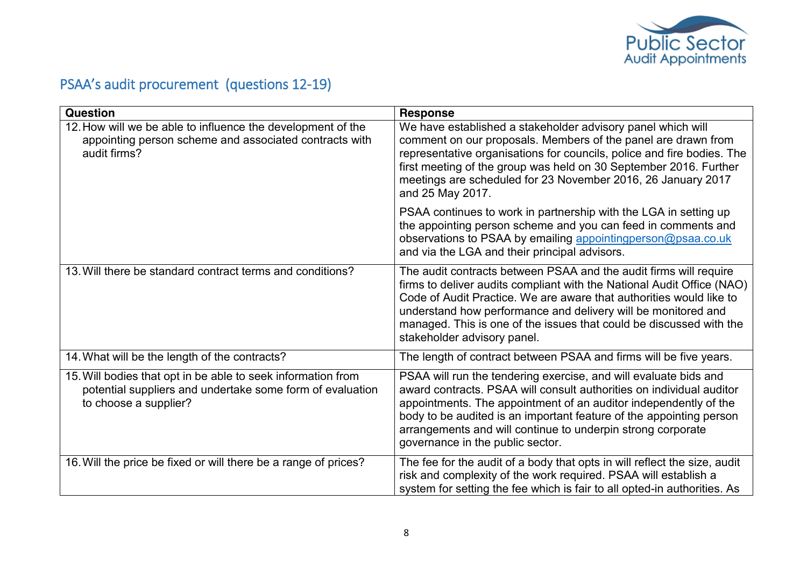

# <span id="page-7-0"></span>PSAA's audit procurement (questions 12-19)

| Question                                                                                                                                           | Response                                                                                                                                                                                                                                                                                                                                                                                  |
|----------------------------------------------------------------------------------------------------------------------------------------------------|-------------------------------------------------------------------------------------------------------------------------------------------------------------------------------------------------------------------------------------------------------------------------------------------------------------------------------------------------------------------------------------------|
| 12. How will we be able to influence the development of the<br>appointing person scheme and associated contracts with<br>audit firms?              | We have established a stakeholder advisory panel which will<br>comment on our proposals. Members of the panel are drawn from<br>representative organisations for councils, police and fire bodies. The<br>first meeting of the group was held on 30 September 2016. Further<br>meetings are scheduled for 23 November 2016, 26 January 2017<br>and 25 May 2017.                           |
|                                                                                                                                                    | PSAA continues to work in partnership with the LGA in setting up<br>the appointing person scheme and you can feed in comments and<br>observations to PSAA by emailing appointingperson@psaa.co.uk<br>and via the LGA and their principal advisors.                                                                                                                                        |
| 13. Will there be standard contract terms and conditions?                                                                                          | The audit contracts between PSAA and the audit firms will require<br>firms to deliver audits compliant with the National Audit Office (NAO)<br>Code of Audit Practice. We are aware that authorities would like to<br>understand how performance and delivery will be monitored and<br>managed. This is one of the issues that could be discussed with the<br>stakeholder advisory panel. |
| 14. What will be the length of the contracts?                                                                                                      | The length of contract between PSAA and firms will be five years.                                                                                                                                                                                                                                                                                                                         |
| 15. Will bodies that opt in be able to seek information from<br>potential suppliers and undertake some form of evaluation<br>to choose a supplier? | PSAA will run the tendering exercise, and will evaluate bids and<br>award contracts. PSAA will consult authorities on individual auditor<br>appointments. The appointment of an auditor independently of the<br>body to be audited is an important feature of the appointing person<br>arrangements and will continue to underpin strong corporate<br>governance in the public sector.    |
| 16. Will the price be fixed or will there be a range of prices?                                                                                    | The fee for the audit of a body that opts in will reflect the size, audit<br>risk and complexity of the work required. PSAA will establish a<br>system for setting the fee which is fair to all opted-in authorities. As                                                                                                                                                                  |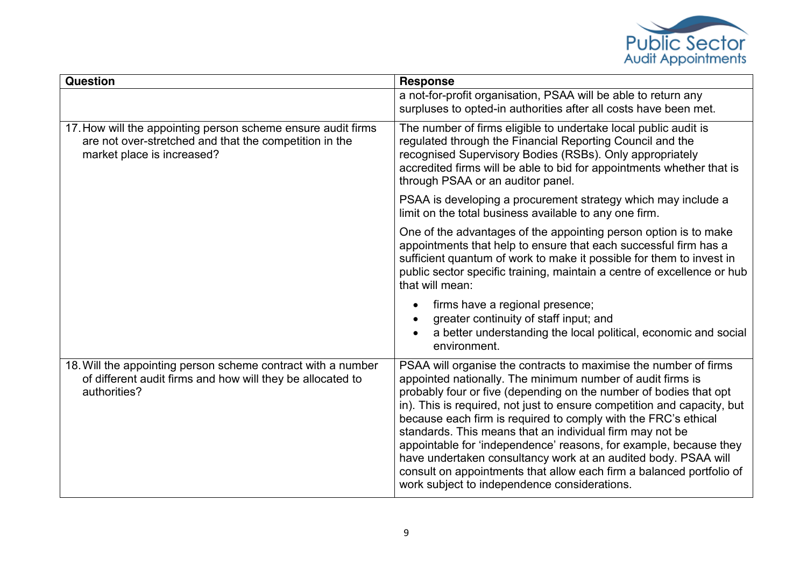

| <b>Question</b>                                                                                                                                      | <b>Response</b>                                                                                                                                                                                                                                                                                                                                                                                                                                                                                                                                                                                                                                                             |
|------------------------------------------------------------------------------------------------------------------------------------------------------|-----------------------------------------------------------------------------------------------------------------------------------------------------------------------------------------------------------------------------------------------------------------------------------------------------------------------------------------------------------------------------------------------------------------------------------------------------------------------------------------------------------------------------------------------------------------------------------------------------------------------------------------------------------------------------|
|                                                                                                                                                      | a not-for-profit organisation, PSAA will be able to return any<br>surpluses to opted-in authorities after all costs have been met.                                                                                                                                                                                                                                                                                                                                                                                                                                                                                                                                          |
| 17. How will the appointing person scheme ensure audit firms<br>are not over-stretched and that the competition in the<br>market place is increased? | The number of firms eligible to undertake local public audit is<br>regulated through the Financial Reporting Council and the<br>recognised Supervisory Bodies (RSBs). Only appropriately<br>accredited firms will be able to bid for appointments whether that is<br>through PSAA or an auditor panel.                                                                                                                                                                                                                                                                                                                                                                      |
|                                                                                                                                                      | PSAA is developing a procurement strategy which may include a<br>limit on the total business available to any one firm.                                                                                                                                                                                                                                                                                                                                                                                                                                                                                                                                                     |
|                                                                                                                                                      | One of the advantages of the appointing person option is to make<br>appointments that help to ensure that each successful firm has a<br>sufficient quantum of work to make it possible for them to invest in<br>public sector specific training, maintain a centre of excellence or hub<br>that will mean:                                                                                                                                                                                                                                                                                                                                                                  |
|                                                                                                                                                      | firms have a regional presence;<br>greater continuity of staff input; and<br>a better understanding the local political, economic and social<br>environment.                                                                                                                                                                                                                                                                                                                                                                                                                                                                                                                |
| 18. Will the appointing person scheme contract with a number<br>of different audit firms and how will they be allocated to<br>authorities?           | PSAA will organise the contracts to maximise the number of firms<br>appointed nationally. The minimum number of audit firms is<br>probably four or five (depending on the number of bodies that opt<br>in). This is required, not just to ensure competition and capacity, but<br>because each firm is required to comply with the FRC's ethical<br>standards. This means that an individual firm may not be<br>appointable for 'independence' reasons, for example, because they<br>have undertaken consultancy work at an audited body. PSAA will<br>consult on appointments that allow each firm a balanced portfolio of<br>work subject to independence considerations. |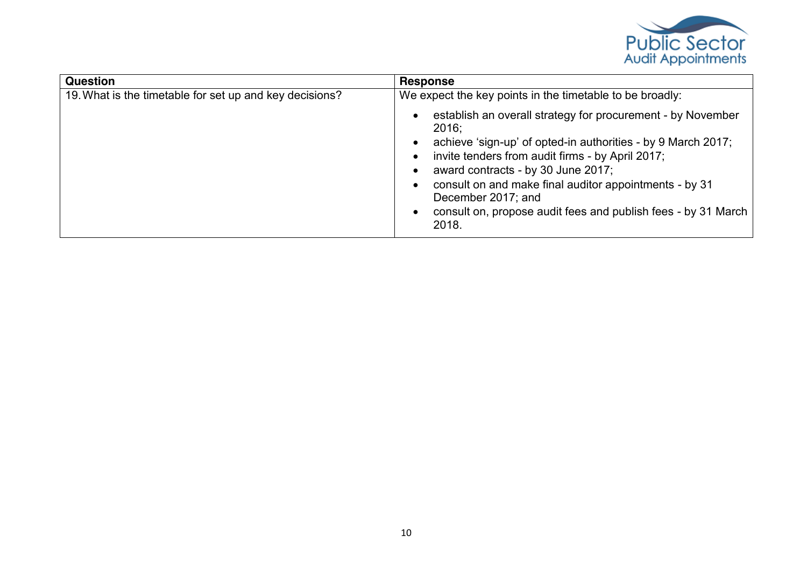

| <b>Question</b>                                         | <b>Response</b>                                                                                                                                                                                                                                                                                                                                                                                          |
|---------------------------------------------------------|----------------------------------------------------------------------------------------------------------------------------------------------------------------------------------------------------------------------------------------------------------------------------------------------------------------------------------------------------------------------------------------------------------|
| 19. What is the timetable for set up and key decisions? | We expect the key points in the timetable to be broadly:                                                                                                                                                                                                                                                                                                                                                 |
|                                                         | establish an overall strategy for procurement - by November<br>$2016$ ;<br>achieve 'sign-up' of opted-in authorities - by 9 March 2017;<br>invite tenders from audit firms - by April 2017;<br>$\bullet$<br>award contracts - by 30 June 2017;<br>consult on and make final auditor appointments - by 31<br>December 2017; and<br>consult on, propose audit fees and publish fees - by 31 March<br>2018. |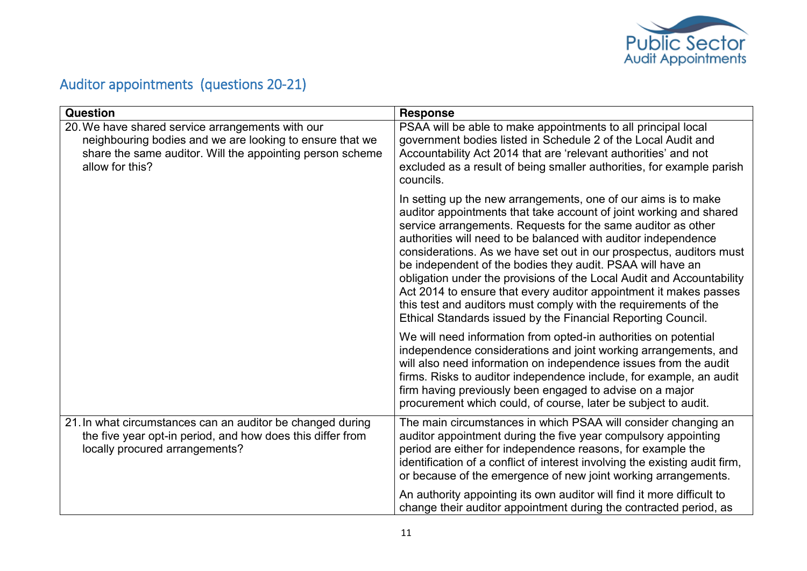

## <span id="page-10-0"></span>Auditor appointments (questions 20-21)

| Question                                                                                                                                                                                     | <b>Response</b>                                                                                                                                                                                                                                                                                                                                                                                                                                                                                                                                                                                                                                                                              |
|----------------------------------------------------------------------------------------------------------------------------------------------------------------------------------------------|----------------------------------------------------------------------------------------------------------------------------------------------------------------------------------------------------------------------------------------------------------------------------------------------------------------------------------------------------------------------------------------------------------------------------------------------------------------------------------------------------------------------------------------------------------------------------------------------------------------------------------------------------------------------------------------------|
| 20. We have shared service arrangements with our<br>neighbouring bodies and we are looking to ensure that we<br>share the same auditor. Will the appointing person scheme<br>allow for this? | PSAA will be able to make appointments to all principal local<br>government bodies listed in Schedule 2 of the Local Audit and<br>Accountability Act 2014 that are 'relevant authorities' and not<br>excluded as a result of being smaller authorities, for example parish<br>councils.                                                                                                                                                                                                                                                                                                                                                                                                      |
|                                                                                                                                                                                              | In setting up the new arrangements, one of our aims is to make<br>auditor appointments that take account of joint working and shared<br>service arrangements. Requests for the same auditor as other<br>authorities will need to be balanced with auditor independence<br>considerations. As we have set out in our prospectus, auditors must<br>be independent of the bodies they audit. PSAA will have an<br>obligation under the provisions of the Local Audit and Accountability<br>Act 2014 to ensure that every auditor appointment it makes passes<br>this test and auditors must comply with the requirements of the<br>Ethical Standards issued by the Financial Reporting Council. |
|                                                                                                                                                                                              | We will need information from opted-in authorities on potential<br>independence considerations and joint working arrangements, and<br>will also need information on independence issues from the audit<br>firms. Risks to auditor independence include, for example, an audit<br>firm having previously been engaged to advise on a major<br>procurement which could, of course, later be subject to audit.                                                                                                                                                                                                                                                                                  |
| 21. In what circumstances can an auditor be changed during<br>the five year opt-in period, and how does this differ from<br>locally procured arrangements?                                   | The main circumstances in which PSAA will consider changing an<br>auditor appointment during the five year compulsory appointing<br>period are either for independence reasons, for example the<br>identification of a conflict of interest involving the existing audit firm,<br>or because of the emergence of new joint working arrangements.                                                                                                                                                                                                                                                                                                                                             |
|                                                                                                                                                                                              | An authority appointing its own auditor will find it more difficult to<br>change their auditor appointment during the contracted period, as                                                                                                                                                                                                                                                                                                                                                                                                                                                                                                                                                  |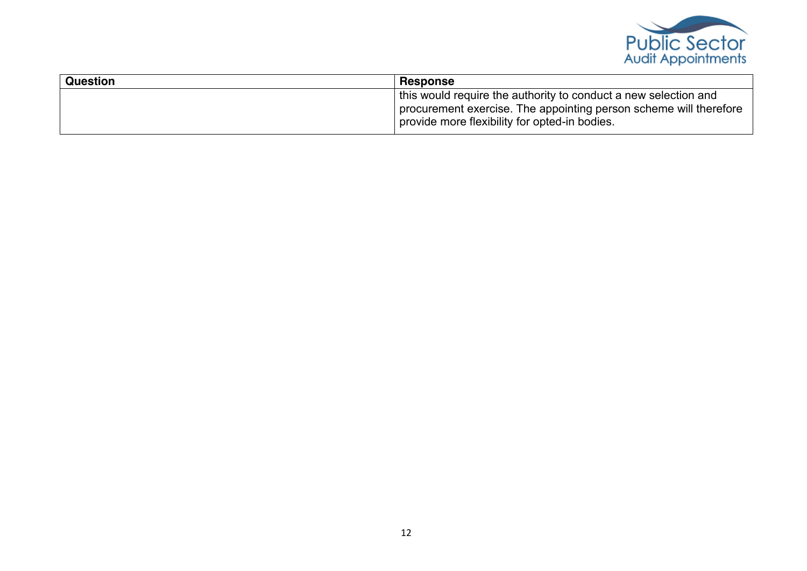

| <b>Question</b> | <b>Response</b>                                                                                                                                                                       |
|-----------------|---------------------------------------------------------------------------------------------------------------------------------------------------------------------------------------|
|                 | this would require the authority to conduct a new selection and<br>procurement exercise. The appointing person scheme will therefore<br>provide more flexibility for opted-in bodies. |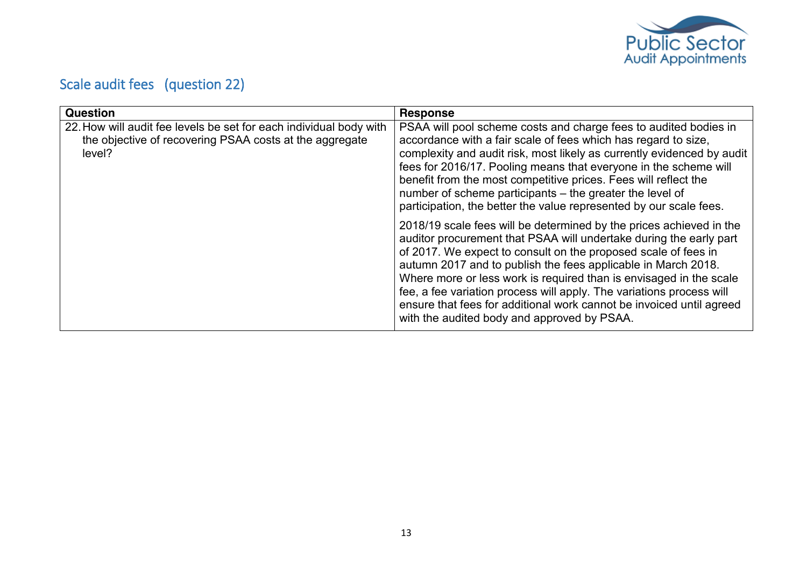

# <span id="page-12-0"></span>Scale audit fees (question 22)

| <b>Question</b>                                                                                                                         | <b>Response</b>                                                                                                                                                                                                                                                                                                                                                                                                                                                                                                                                   |
|-----------------------------------------------------------------------------------------------------------------------------------------|---------------------------------------------------------------------------------------------------------------------------------------------------------------------------------------------------------------------------------------------------------------------------------------------------------------------------------------------------------------------------------------------------------------------------------------------------------------------------------------------------------------------------------------------------|
| 22. How will audit fee levels be set for each individual body with<br>the objective of recovering PSAA costs at the aggregate<br>level? | PSAA will pool scheme costs and charge fees to audited bodies in<br>accordance with a fair scale of fees which has regard to size,<br>complexity and audit risk, most likely as currently evidenced by audit<br>fees for 2016/17. Pooling means that everyone in the scheme will<br>benefit from the most competitive prices. Fees will reflect the<br>number of scheme participants – the greater the level of<br>participation, the better the value represented by our scale fees.                                                             |
|                                                                                                                                         | 2018/19 scale fees will be determined by the prices achieved in the<br>auditor procurement that PSAA will undertake during the early part<br>of 2017. We expect to consult on the proposed scale of fees in<br>autumn 2017 and to publish the fees applicable in March 2018.<br>Where more or less work is required than is envisaged in the scale<br>fee, a fee variation process will apply. The variations process will<br>ensure that fees for additional work cannot be invoiced until agreed<br>with the audited body and approved by PSAA. |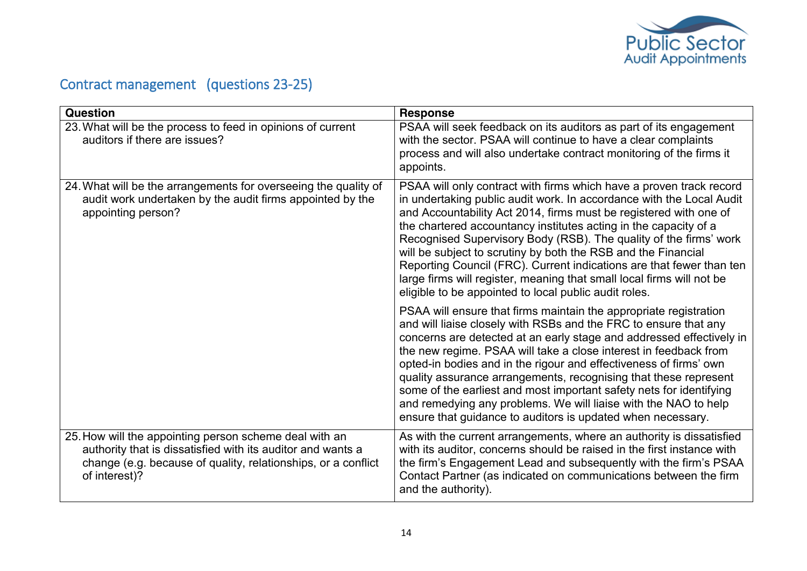

## <span id="page-13-0"></span>Contract management (questions 23-25)

| <b>Question</b>                                                                                                                                                                                         | <b>Response</b>                                                                                                                                                                                                                                                                                                                                                                                                                                                                                                                                                                                                                      |
|---------------------------------------------------------------------------------------------------------------------------------------------------------------------------------------------------------|--------------------------------------------------------------------------------------------------------------------------------------------------------------------------------------------------------------------------------------------------------------------------------------------------------------------------------------------------------------------------------------------------------------------------------------------------------------------------------------------------------------------------------------------------------------------------------------------------------------------------------------|
| 23. What will be the process to feed in opinions of current<br>auditors if there are issues?                                                                                                            | PSAA will seek feedback on its auditors as part of its engagement<br>with the sector. PSAA will continue to have a clear complaints<br>process and will also undertake contract monitoring of the firms it<br>appoints.                                                                                                                                                                                                                                                                                                                                                                                                              |
| 24. What will be the arrangements for overseeing the quality of<br>audit work undertaken by the audit firms appointed by the<br>appointing person?                                                      | PSAA will only contract with firms which have a proven track record<br>in undertaking public audit work. In accordance with the Local Audit<br>and Accountability Act 2014, firms must be registered with one of<br>the chartered accountancy institutes acting in the capacity of a<br>Recognised Supervisory Body (RSB). The quality of the firms' work<br>will be subject to scrutiny by both the RSB and the Financial<br>Reporting Council (FRC). Current indications are that fewer than ten<br>large firms will register, meaning that small local firms will not be<br>eligible to be appointed to local public audit roles. |
|                                                                                                                                                                                                         | PSAA will ensure that firms maintain the appropriate registration<br>and will liaise closely with RSBs and the FRC to ensure that any<br>concerns are detected at an early stage and addressed effectively in<br>the new regime. PSAA will take a close interest in feedback from<br>opted-in bodies and in the rigour and effectiveness of firms' own<br>quality assurance arrangements, recognising that these represent<br>some of the earliest and most important safety nets for identifying<br>and remedying any problems. We will liaise with the NAO to help<br>ensure that guidance to auditors is updated when necessary.  |
| 25. How will the appointing person scheme deal with an<br>authority that is dissatisfied with its auditor and wants a<br>change (e.g. because of quality, relationships, or a conflict<br>of interest)? | As with the current arrangements, where an authority is dissatisfied<br>with its auditor, concerns should be raised in the first instance with<br>the firm's Engagement Lead and subsequently with the firm's PSAA<br>Contact Partner (as indicated on communications between the firm<br>and the authority).                                                                                                                                                                                                                                                                                                                        |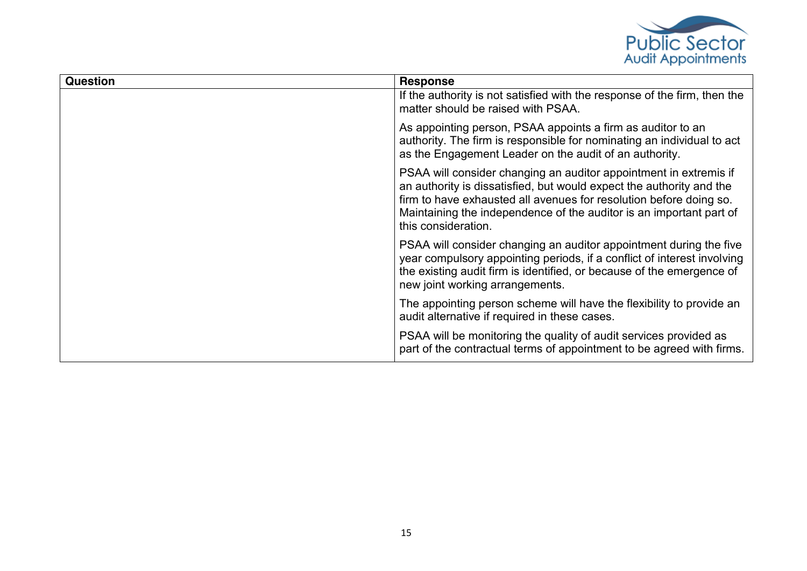

| Question | <b>Response</b>                                                                                                                                                                                                                                                                                               |
|----------|---------------------------------------------------------------------------------------------------------------------------------------------------------------------------------------------------------------------------------------------------------------------------------------------------------------|
|          | If the authority is not satisfied with the response of the firm, then the<br>matter should be raised with PSAA.                                                                                                                                                                                               |
|          | As appointing person, PSAA appoints a firm as auditor to an<br>authority. The firm is responsible for nominating an individual to act<br>as the Engagement Leader on the audit of an authority.                                                                                                               |
|          | PSAA will consider changing an auditor appointment in extremis if<br>an authority is dissatisfied, but would expect the authority and the<br>firm to have exhausted all avenues for resolution before doing so.<br>Maintaining the independence of the auditor is an important part of<br>this consideration. |
|          | PSAA will consider changing an auditor appointment during the five<br>year compulsory appointing periods, if a conflict of interest involving<br>the existing audit firm is identified, or because of the emergence of<br>new joint working arrangements.                                                     |
|          | The appointing person scheme will have the flexibility to provide an<br>audit alternative if required in these cases.                                                                                                                                                                                         |
|          | PSAA will be monitoring the quality of audit services provided as<br>part of the contractual terms of appointment to be agreed with firms.                                                                                                                                                                    |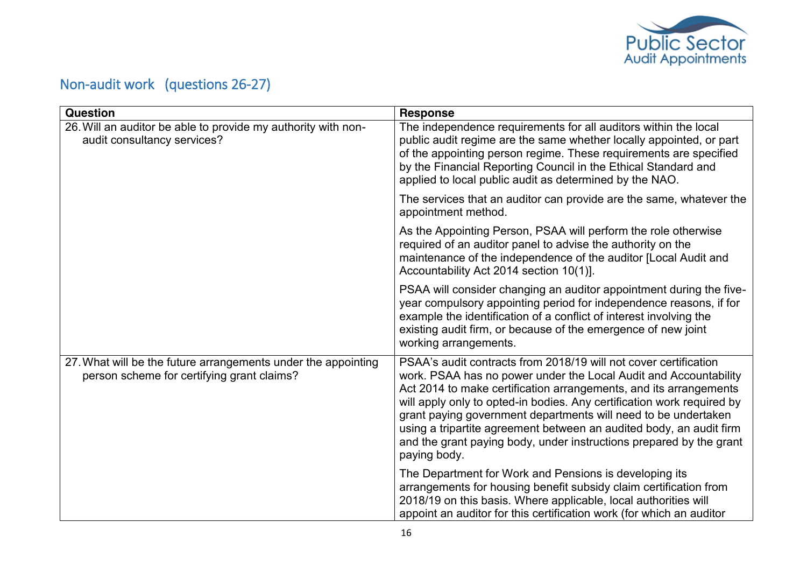

## <span id="page-15-0"></span>Non-audit work (questions 26-27)

| Question                                                                                                    | <b>Response</b>                                                                                                                                                                                                                                                                                                                                                                                                                                                                                                     |
|-------------------------------------------------------------------------------------------------------------|---------------------------------------------------------------------------------------------------------------------------------------------------------------------------------------------------------------------------------------------------------------------------------------------------------------------------------------------------------------------------------------------------------------------------------------------------------------------------------------------------------------------|
| 26. Will an auditor be able to provide my authority with non-<br>audit consultancy services?                | The independence requirements for all auditors within the local<br>public audit regime are the same whether locally appointed, or part<br>of the appointing person regime. These requirements are specified<br>by the Financial Reporting Council in the Ethical Standard and<br>applied to local public audit as determined by the NAO.                                                                                                                                                                            |
|                                                                                                             | The services that an auditor can provide are the same, whatever the<br>appointment method.                                                                                                                                                                                                                                                                                                                                                                                                                          |
|                                                                                                             | As the Appointing Person, PSAA will perform the role otherwise<br>required of an auditor panel to advise the authority on the<br>maintenance of the independence of the auditor [Local Audit and<br>Accountability Act 2014 section 10(1)].                                                                                                                                                                                                                                                                         |
|                                                                                                             | PSAA will consider changing an auditor appointment during the five-<br>year compulsory appointing period for independence reasons, if for<br>example the identification of a conflict of interest involving the<br>existing audit firm, or because of the emergence of new joint<br>working arrangements.                                                                                                                                                                                                           |
| 27. What will be the future arrangements under the appointing<br>person scheme for certifying grant claims? | PSAA's audit contracts from 2018/19 will not cover certification<br>work. PSAA has no power under the Local Audit and Accountability<br>Act 2014 to make certification arrangements, and its arrangements<br>will apply only to opted-in bodies. Any certification work required by<br>grant paying government departments will need to be undertaken<br>using a tripartite agreement between an audited body, an audit firm<br>and the grant paying body, under instructions prepared by the grant<br>paying body. |
|                                                                                                             | The Department for Work and Pensions is developing its<br>arrangements for housing benefit subsidy claim certification from<br>2018/19 on this basis. Where applicable, local authorities will<br>appoint an auditor for this certification work (for which an auditor                                                                                                                                                                                                                                              |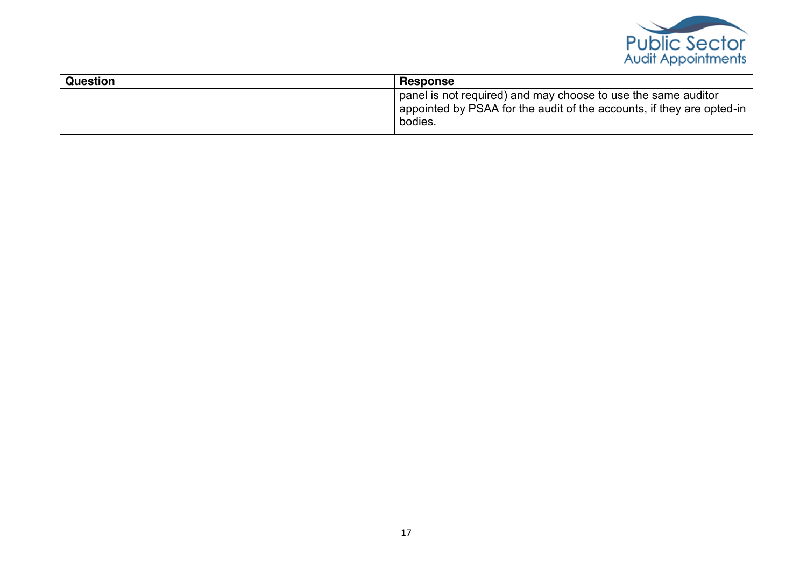

| <b>Question</b> | Response                                                                                                                                          |
|-----------------|---------------------------------------------------------------------------------------------------------------------------------------------------|
|                 | panel is not required) and may choose to use the same auditor<br>appointed by PSAA for the audit of the accounts, if they are opted-in<br>bodies. |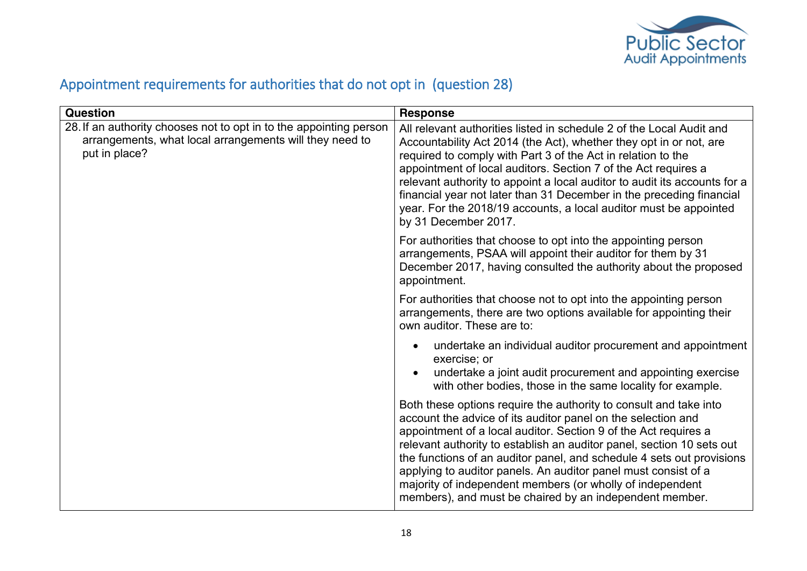

## <span id="page-17-0"></span>Appointment requirements for authorities that do not opt in (question 28)

| Question                                                                                                                                       | <b>Response</b>                                                                                                                                                                                                                                                                                                                                                                                                                                                                                                                                  |
|------------------------------------------------------------------------------------------------------------------------------------------------|--------------------------------------------------------------------------------------------------------------------------------------------------------------------------------------------------------------------------------------------------------------------------------------------------------------------------------------------------------------------------------------------------------------------------------------------------------------------------------------------------------------------------------------------------|
| 28. If an authority chooses not to opt in to the appointing person<br>arrangements, what local arrangements will they need to<br>put in place? | All relevant authorities listed in schedule 2 of the Local Audit and<br>Accountability Act 2014 (the Act), whether they opt in or not, are<br>required to comply with Part 3 of the Act in relation to the<br>appointment of local auditors. Section 7 of the Act requires a<br>relevant authority to appoint a local auditor to audit its accounts for a<br>financial year not later than 31 December in the preceding financial<br>year. For the 2018/19 accounts, a local auditor must be appointed<br>by 31 December 2017.                   |
|                                                                                                                                                | For authorities that choose to opt into the appointing person<br>arrangements, PSAA will appoint their auditor for them by 31<br>December 2017, having consulted the authority about the proposed<br>appointment.                                                                                                                                                                                                                                                                                                                                |
|                                                                                                                                                | For authorities that choose not to opt into the appointing person<br>arrangements, there are two options available for appointing their<br>own auditor. These are to:                                                                                                                                                                                                                                                                                                                                                                            |
|                                                                                                                                                | undertake an individual auditor procurement and appointment<br>$\bullet$<br>exercise; or<br>undertake a joint audit procurement and appointing exercise<br>$\bullet$<br>with other bodies, those in the same locality for example.                                                                                                                                                                                                                                                                                                               |
|                                                                                                                                                | Both these options require the authority to consult and take into<br>account the advice of its auditor panel on the selection and<br>appointment of a local auditor. Section 9 of the Act requires a<br>relevant authority to establish an auditor panel, section 10 sets out<br>the functions of an auditor panel, and schedule 4 sets out provisions<br>applying to auditor panels. An auditor panel must consist of a<br>majority of independent members (or wholly of independent<br>members), and must be chaired by an independent member. |